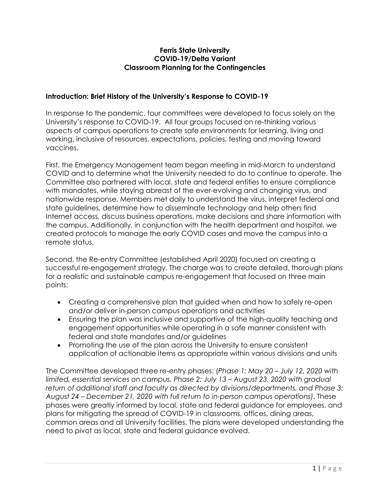### **Ferris State University COVID-19/Delta Variant Classroom Planning for the Contingencies**

## **Introduction: Brief History of the University's Response to COVID-19**

In response to the pandemic, four committees were developed to focus solely on the University's response to COVID-19. All four groups focused on re-thinking various aspects of campus operations to create safe environments for learning, living and working, inclusive of resources, expectations, policies, testing and moving toward vaccines.

First, the Emergency Management team began meeting in mid-March to understand COVID and to determine what the University needed to do to continue to operate. The Committee also partnered with local, state and federal entities to ensure compliance with mandates, while staying abreast of the ever-evolving and changing virus, and nationwide response. Members met daily to understand the virus, interpret federal and state guidelines, determine how to disseminate technology and help others find Internet access, discuss business operations, make decisions and share information with the campus. Additionally, in conjunction with the health department and hospital, we created protocols to manage the early COVID cases and move the campus into a remote status.

Second, the Re-entry Committee (established April 2020) focused on creating a successful re-engagement strategy. The charge was to create detailed, thorough plans for a realistic and sustainable campus re-engagement that focused on three main points:

- Creating a comprehensive plan that guided when and how to safely re-open and/or deliver in-person campus operations and activities
- Ensuring the plan was inclusive and supportive of the high-quality teaching and engagement opportunities while operating in a safe manner consistent with federal and state mandates and/or guidelines
- Promoting the use of the plan across the University to ensure consistent application of actionable items as appropriate within various divisions and units

The Committee developed three re-entry phases: (*Phase 1: May 20 – July 12, 2020 with limited, essential services on campus, Phase 2: July 13 – August 23, 2020 with gradual return of additional staff and faculty as directed by divisions/departments, and Phase 3: August 24 – December 21, 2020 with full return to in-person campus operations)*. These phases were greatly informed by local, state and federal guidance for employees, and plans for mitigating the spread of COVID-19 in classrooms, offices, dining areas, common areas and all University facilities. The plans were developed understanding the need to pivot as local, state and federal guidance evolved.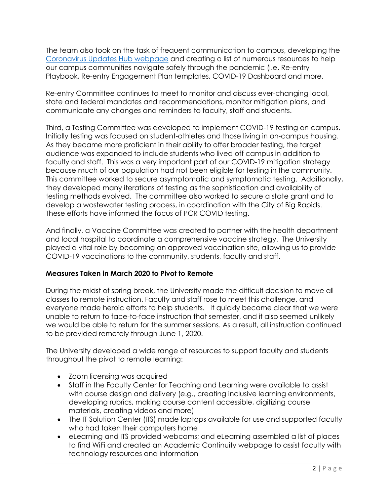The team also took on the task of frequent communication to campus, developing the [Coronavirus Updates](http://www.ferris.edu/coronavirus) Hub webpage and creating a list of numerous resources to help our campus communities navigate safely through the pandemic (i.e. Re-entry Playbook, Re-entry Engagement Plan templates, COVID-19 Dashboard and more.

Re-entry Committee continues to meet to monitor and discuss ever-changing local, state and federal mandates and recommendations, monitor mitigation plans, and communicate any changes and reminders to faculty, staff and students.

Third, a Testing Committee was developed to implement COVID-19 testing on campus. Initially testing was focused on student-athletes and those living in on-campus housing. As they became more proficient in their ability to offer broader testing, the target audience was expanded to include students who lived off campus in addition to faculty and staff. This was a very important part of our COVID-19 mitigation strategy because much of our population had not been eligible for testing in the community. This committee worked to secure asymptomatic and symptomatic testing. Additionally, they developed many iterations of testing as the sophistication and availability of testing methods evolved. The committee also worked to secure a state grant and to develop a wastewater testing process, in coordination with the City of Big Rapids. These efforts have informed the focus of PCR COVID testing.

And finally, a Vaccine Committee was created to partner with the health department and local hospital to coordinate a comprehensive vaccine strategy. The University played a vital role by becoming an approved vaccination site, allowing us to provide COVID-19 vaccinations to the community, students, faculty and staff.

# **Measures Taken in March 2020 to Pivot to Remote**

During the midst of spring break, the University made the difficult decision to move all classes to remote instruction. Faculty and staff rose to meet this challenge, and everyone made heroic efforts to help students. It quickly became clear that we were unable to return to face-to-face instruction that semester, and it also seemed unlikely we would be able to return for the summer sessions. As a result, all instruction continued to be provided remotely through June 1, 2020.

The University developed a wide range of resources to support faculty and students throughout the pivot to remote learning:

- Zoom licensing was acquired
- Staff in the Faculty Center for Teaching and Learning were available to assist with course design and delivery (e.g., creating inclusive learning environments, developing rubrics, making course content accessible, digitizing course materials, creating videos and more)
- The IT Solution Center (ITS) made laptops available for use and supported faculty who had taken their computers home
- eLearning and ITS provided webcams; and eLearning assembled a list of places to find WiFi and created an Academic Continuity webpage to assist faculty with technology resources and information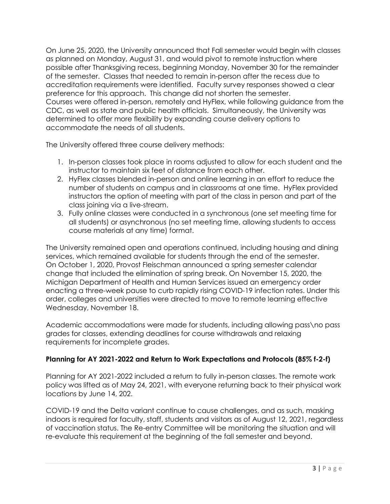On June 25, 2020, the University announced that Fall semester would begin with classes as planned on Monday, August 31, and would pivot to remote instruction where possible after Thanksgiving recess, beginning Monday, November 30 for the remainder of the semester. Classes that needed to remain in-person after the recess due to accreditation requirements were identified. Faculty survey responses showed a clear preference for this approach. This change did not shorten the semester. Courses were offered in-person, remotely and HyFlex, while following guidance from the CDC, as well as state and public health officials. Simultaneously, the University was determined to offer more flexibility by expanding course delivery options to accommodate the needs of all students.

The University offered three course delivery methods:

- 1. In-person classes took place in rooms adjusted to allow for each student and the instructor to maintain six feet of distance from each other.
- 2. HyFlex classes blended in-person and online learning in an effort to reduce the number of students on campus and in classrooms at one time. HyFlex provided instructors the option of meeting with part of the class in person and part of the class joining via a live-stream.
- 3. Fully online classes were conducted in a synchronous (one set meeting time for all students) or asynchronous (no set meeting time, allowing students to access course materials at any time) format.

The University remained open and operations continued, including housing and dining services, which remained available for students through the end of the semester. On October 1, 2020, Provost Fleischman announced a spring semester calendar change that included the elimination of spring break. On November 15, 2020, the Michigan Department of Health and Human Services issued an emergency order enacting a three-week pause to curb rapidly rising COVID-19 infection rates. Under this order, colleges and universities were directed to move to remote learning effective Wednesday, November 18.

Academic accommodations were made for students, including allowing pass\no pass grades for classes, extending deadlines for course withdrawals and relaxing requirements for incomplete grades.

# **Planning for AY 2021-2022 and Return to Work Expectations and Protocols (85% f-2-f)**

Planning for AY 2021-2022 included a return to fully in-person classes. The remote work policy was lifted as of May 24, 2021, with everyone returning back to their physical work locations by June 14, 202.

COVID-19 and the Delta variant continue to cause challenges, and as such, masking indoors is required for faculty, staff, students and visitors as of August 12, 2021, regardless of vaccination status. The Re-entry Committee will be monitoring the situation and will re-evaluate this requirement at the beginning of the fall semester and beyond.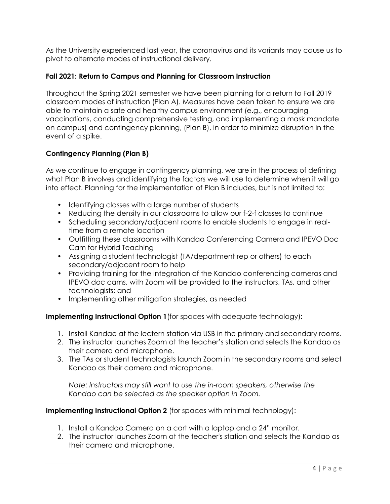As the University experienced last year, the coronavirus and its variants may cause us to pivot to alternate modes of instructional delivery.

## **Fall 2021: Return to Campus and Planning for Classroom Instruction**

Throughout the Spring 2021 semester we have been planning for a return to Fall 2019 classroom modes of instruction (Plan A). Measures have been taken to ensure we are able to maintain a safe and healthy campus environment (e.g., encouraging vaccinations, conducting comprehensive testing, and implementing a mask mandate on campus) and contingency planning, (Plan B), in order to minimize disruption in the event of a spike.

# **Contingency Planning (Plan B)**

As we continue to engage in contingency planning, we are in the process of defining what Plan B involves and identifying the factors we will use to determine when it will go into effect. Planning for the implementation of Plan B includes, but is not limited to:

- Identifying classes with a large number of students
- Reducing the density in our classrooms to allow our f-2-f classes to continue
- Scheduling secondary/adjacent rooms to enable students to engage in realtime from a remote location
- Outfitting these classrooms with Kandao Conferencing Camera and IPEVO Doc Cam for Hybrid Teaching
- Assigning a student technologist (TA/department rep or others) to each secondary/adjacent room to help
- Providing training for the integration of the Kandao conferencing cameras and IPEVO doc cams, with Zoom will be provided to the instructors, TAs, and other technologists; and
- Implementing other mitigation strategies, as needed

**Implementing Instructional Option 1** (for spaces with adequate technology):

- 1. Install Kandao at the lectern station via USB in the primary and secondary rooms.
- 2. The instructor launches Zoom at the teacher's station and selects the Kandao as their camera and microphone.
- 3. The TAs or student technologists launch Zoom in the secondary rooms and select Kandao as their camera and microphone.

*Note: Instructors may still want to use the in-room speakers, otherwise the Kandao can be selected as the speaker option in Zoom.*

## **Implementing Instructional Option 2** (for spaces with minimal technology):

- 1. Install a Kandao Camera on a cart with a laptop and a 24" monitor.
- 2. The instructor launches Zoom at the teacher's station and selects the Kandao as their camera and microphone.